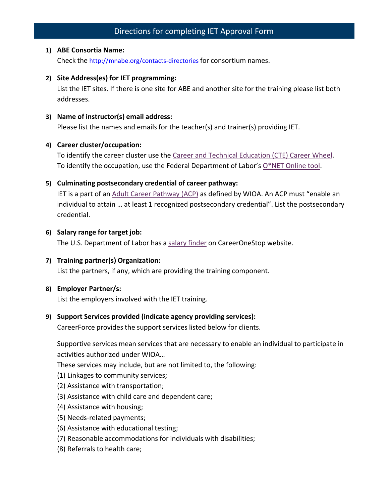# Directions for completing IET Approval Form

#### **1) ABE Consortia Name:**

Check the <http://mnabe.org/contacts-directories> for consortium names.

**2) Site Address(es) for IET programming:**

List the IET sites. If there is one site for ABE and another site for the training please list both addresses.

**3) Name of instructor(s) email address:**

Please list the names and emails for the teacher(s) and trainer(s) providing IET.

## **4) Career cluster/occupation:**

To identify the career cluster use the [Career and Technical Education \(CTE\) Career Wheel.](https://www.minnstate.edu/system/cte/consortium_resources/documents/POS-Career-Wheel-8x11-2016.pdf) To identify the occupation, use the Federal Department of Labor's [O\\*NET](https://www.onetonline.org/find/) Online tool.

# **5) Culminating postsecondary credential of career pathway:**

IET is a part of an [Adult Career Pathway \(ACP\)](https://lincs.ed.gov/publications/topic/wioa/careerpathways-checklist.pdf) as defined by WIOA. An ACP must "enable an individual to attain … at least 1 recognized postsecondary credential". List the postsecondary credential.

## **6) Salary range for target job:**

The U.S. Department of Labor has a salary [finder](https://www.careeronestop.org/Toolkit/Wages/find-salary.aspx) on CareerOneStop website.

# **7) Training partner(s) Organization:**

List the partners, if any, which are providing the training component.

#### **8) Employer Partner/s:**

List the employers involved with the IET training.

# **9) Support Services provided (indicate agency providing services):**

CareerForce provides the support services listed below for clients.

Supportive services mean services that are necessary to enable an individual to participate in activities authorized under WIOA…

These services may include, but are not limited to, the following:

- (1) Linkages to community services;
- (2) Assistance with transportation;
- (3) Assistance with child care and dependent care;
- (4) Assistance with housing;
- (5) Needs-related payments;
- (6) Assistance with educational testing;
- (7) Reasonable accommodations for individuals with disabilities;
- (8) Referrals to health care;